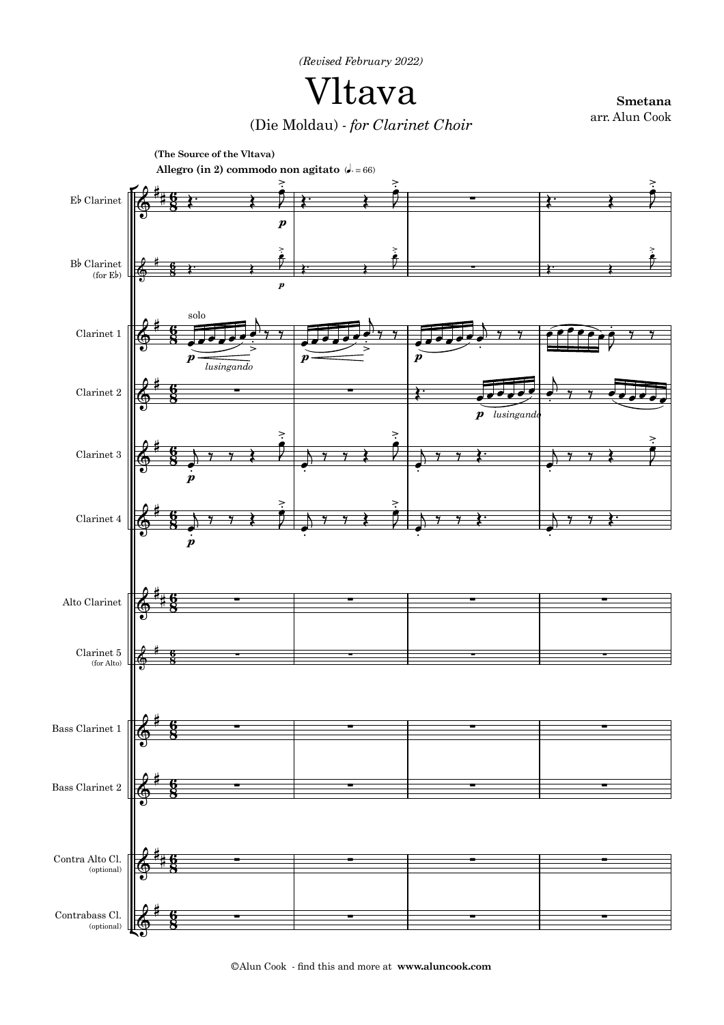*(Revised February 2022)*

Vltava

**Smetana**

arr. Alun Cook (Die Moldau) - *for Clarinet Choir*



©Alun Cook - find this and more at **www.aluncook.com**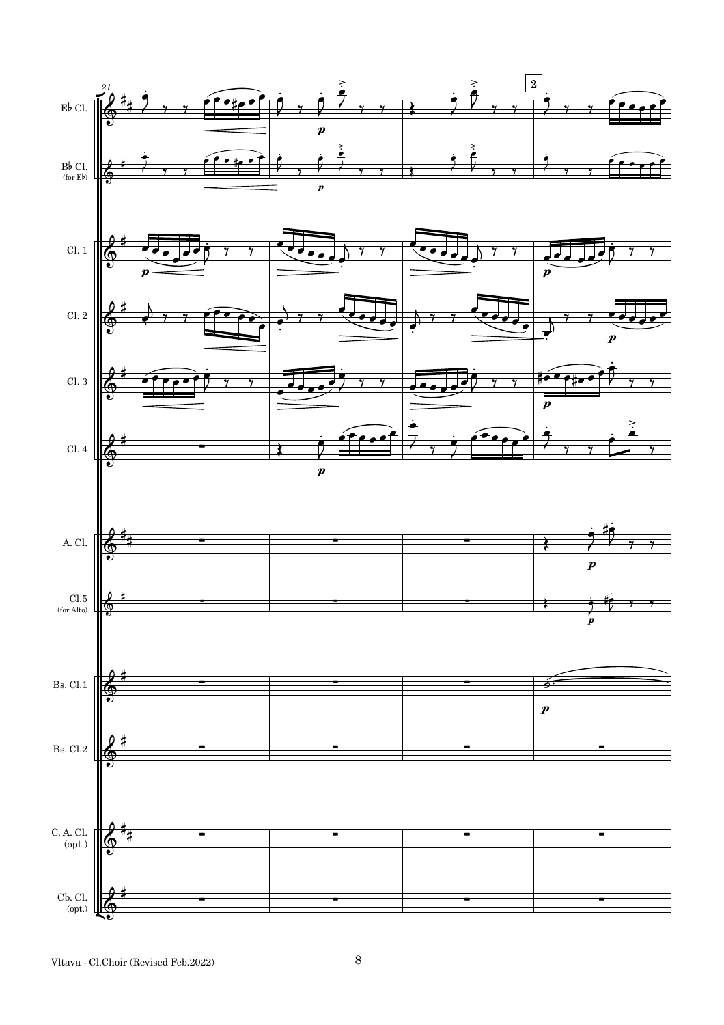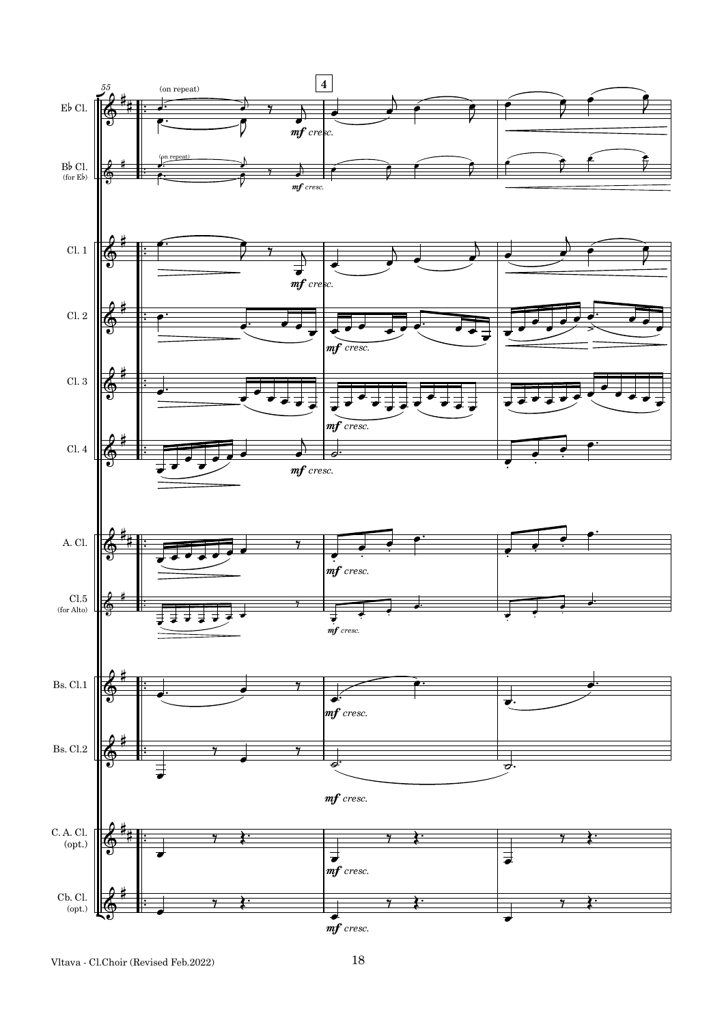

Vltava - Cl.Choir (Revised Feb.2022) 18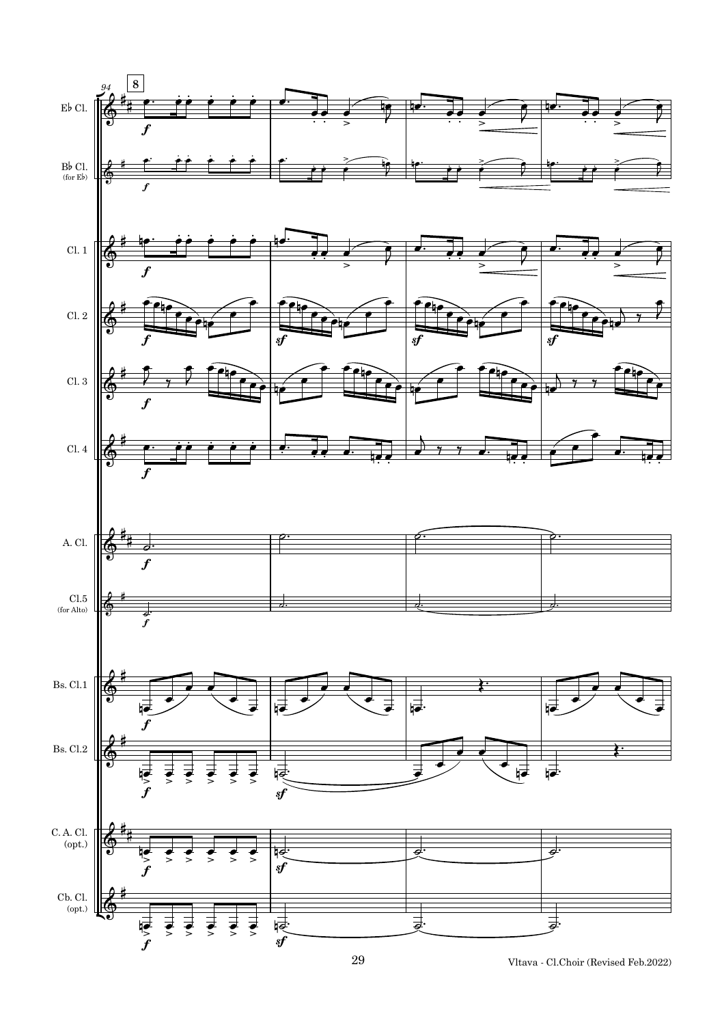